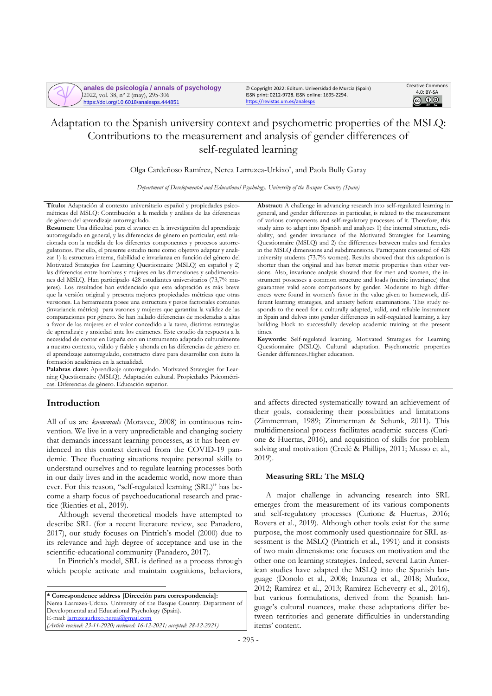

**anales de psicología / annals of psychology** 2022, vol. 38, nº 2 (may), 295-306 https://doi.org/10.6018/analesps.444851

© Copyright 2022: Editum. Universidad de Murcia (Spain) ISSN print: 0212-9728. ISSN online: 1695-2294. <https://revistas.um.es/analesps>



# Adaptation to the Spanish university context and psychometric properties of the MSLQ: Contributions to the measurement and analysis of gender differences of self-regulated learning

Olga Cardeñoso Ramírez, Nerea Larruzea-Urkixo\* , and Paola Bully Garay

*Department of Developmental and Educational Psychology. University of the Basque Country (Spain)*

**Título:** Adaptación al contexto universitario español y propiedades psicométricas del MSLQ: Contribución a la medida y análisis de las diferencias de género del aprendizaje autorregulado.

**Resumen:** Una dificultad para el avance en la investigación del aprendizaje autorregulado en general, y las diferencias de género en particular, está relacionada con la medida de los diferentes componentes y procesos autorregulatorios. Por ello, el presente estudio tiene como objetivo adaptar y analizar 1) la estructura interna, fiabilidad e invarianza en función del género del Motivated Strategies for Learning Questionnaire (MSLQ) en español y 2) las diferencias entre hombres y mujeres en las dimensiones y subdimensiones del MSLQ. Han participado 428 estudiantes universitarios (73,7% mujeres). Los resultados han evidenciado que esta adaptación es más breve que la versión original y presenta mejores propiedades métricas que otras versiones. La herramienta posee una estructura y pesos factoriales comunes (invariancia métrica) para varones y mujeres que garantiza la validez de las comparaciones por género. Se han hallado diferencias de moderadas a altas a favor de las mujeres en el valor concedido a la tarea, distintas estrategias de aprendizaje y ansiedad ante los exámenes. Este estudio da respuesta a la necesidad de contar en España con un instrumento adaptado culturalmente a nuestro contexto, válido y fiable y ahonda en las diferencias de género en el aprendizaje autorregulado, constructo clave para desarrollar con éxito la formación académica en la actualidad.

**Palabras clave:** Aprendizaje autorregulado. Motivated Strategies for Learning Questionnaire (MSLQ). Adaptación cultural. Propiedades Psicométricas. Diferencias de género. Educación superior.

# **Introduction**

All of us are *knowmads* (Moravec, 2008) in continuous reinvention. We live in a very unpredictable and changing society that demands incessant learning processes, as it has been evidenced in this context derived from the COVID-19 pandemic. Thee fluctuating situations require personal skills to understand ourselves and to regulate learning processes both in our daily lives and in the academic world, now more than ever. For this reason, "self-regulated learning (SRL)" has become a sharp focus of psychoeducational research and practice (Rienties et al., 2019).

Although several theoretical models have attempted to describe SRL (for a recent literature review, see Panadero, 2017), our study focuses on Pintrich's model (2000) due to its relevance and high degree of acceptance and use in the scientific-educational community (Panadero, 2017).

In Pintrich's model, SRL is defined as a process through which people activate and maintain cognitions, behaviors,

**\* Correspondence address [Dirección para correspondencia]:** Nerea Larruzea-Urkixo. University of the Basque Country. Department of Developmental and Educational Psychology (Spain). E-mail[: larruzeaurkixo.nerea@gmail.com](mailto:larruzeaurkixo.nerea@gmail.com)  *(Article received: 23-11-2020; reviewed: 16-12-2021; accepted: 28-12-2021)*

**Abstract:** A challenge in advancing research into self-regulated learning in general, and gender differences in particular, is related to the measurement of various components and self-regulatory processes of it. Therefore, this study aims to adapt into Spanish and analyzes 1) the internal structure, reliability, and gender invariance of the Motivated Strategies for Learning Questionnaire (MSLQ) and 2) the differences between males and females in the MSLQ dimensions and subdimensions. Participants consisted of 428 university students (73.7% women). Results showed that this adaptation is shorter than the original and has better metric properties than other versions. Also, invariance analysis showed that for men and women, the instrument possesses a common structure and loads (metric invariance) that guarantees valid score comparisons by gender. Moderate to high differences were found in women's favor in the value given to homework, different learning strategies, and anxiety before examinations. This study responds to the need for a culturally adapted, valid, and reliable instrument in Spain and delves into gender differences in self-regulated learning, a key building block to successfully develop academic training at the present times.

**Keywords:** Self-regulated learning. Motivated Strategies for Learning Questionnaire (MSLQ). Cultural adaptation. Psychometric properties Gender differences.Higher education.

and affects directed systematically toward an achievement of their goals, considering their possibilities and limitations (Zimmerman, 1989; Zimmerman & Schunk, 2011). This multidimensional process facilitates academic success (Curione & Huertas, 2016), and acquisition of skills for problem solving and motivation (Credé & Phillips, 2011; Musso et al., 2019).

# **Measuring SRL: The MSLQ**

A major challenge in advancing research into SRL emerges from the measurement of its various components and self-regulatory processes (Curione & Huertas, 2016; Rovers et al., 2019). Although other tools exist for the same purpose, the most commonly used questionnaire for SRL assessment is the MSLQ (Pintrich et al., 1991) and it consists of two main dimensions: one focuses on motivation and the other one on learning strategies. Indeed, several Latin American studies have adapted the MSLQ into the Spanish language (Donolo et al., 2008; Inzunza et al., 2018; Muñoz, 2012; Ramírez et al., 2013; Ramírez-Echeverry et al., 2016), but various formulations, derived from the Spanish language's cultural nuances, make these adaptations differ between territories and generate difficulties in understanding items' content.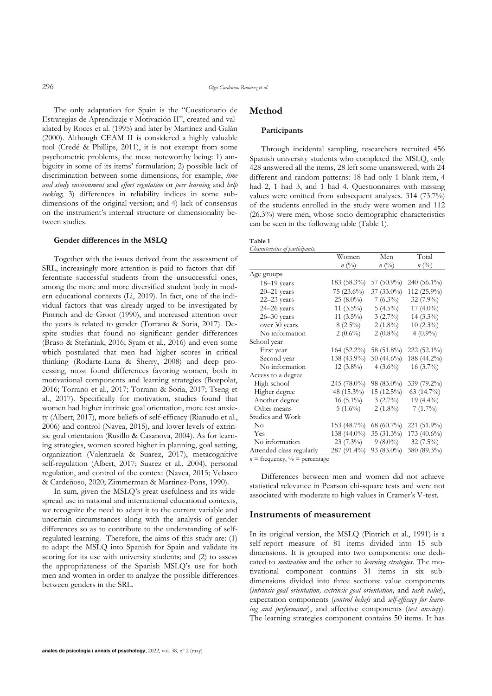The only adaptation for Spain is the "Cuestionario de Estrategias de Aprendizaje y Motivación II", created and validated by Roces et al. (1995) and later by Martínez and Galán (2000). Although CEAM II is considered a highly valuable tool (Credé & Phillips, 2011), it is not exempt from some psychometric problems, the most noteworthy being: 1) ambiguity in some of its items' formulation; 2) possible lack of discrimination between some dimensions, for example, *time and study environment* and *effort regulation* or *peer learning* and *help seeking*; 3) differences in reliability indices in some subdimensions of the original version; and 4) lack of consensus on the instrument's internal structure or dimensionality between studies.

# **Gender differences in the MSLQ**

Together with the issues derived from the assessment of SRL, increasingly more attention is paid to factors that differentiate successful students from the unsuccessful ones, among the more and more diversified student body in modern educational contexts (Li, 2019). In fact, one of the individual factors that was already urged to be investigated by Pintrich and de Groot (1990), and increased attention over the years is related to gender (Torrano & Soria, 2017). Despite studies that found no significant gender differences (Bruso & Stefaniak, 2016; Syam et al., 2016) and even some which postulated that men had higher scores in critical thinking (Rodarte-Luna & Sherry, 2008) and deep processing, most found differences favoring women, both in motivational components and learning strategies (Bozpolat, 2016; Torrano et al., 2017; Torrano & Soria, 2017; Tseng et al., 2017). Specifically for motivation, studies found that women had higher intrinsic goal orientation, more test anxiety (Albert, 2017), more beliefs of self-efficacy (Rianudo et al., 2006) and control (Navea, 2015), and lower levels of extrinsic goal orientation (Rusillo & Casanova, 2004). As for learning strategies, women scored higher in planning, goal setting, organization (Valenzuela & Suarez, 2017), metacognitive self-regulation (Albert, 2017; Suarez et al., 2004), personal regulation, and control of the context (Navea, 2015; Velasco & Cardeñoso, 2020; Zimmerman & Martinez-Pons, 1990).

In sum, given the MSLQ's great usefulness and its widespread use in national and international educational contexts, we recognize the need to adapt it to the current variable and uncertain circumstances along with the analysis of gender differences so as to contribute to the understanding of selfregulated learning. Therefore, the aims of this study are: (1) to adapt the MSLQ into Spanish for Spain and validate its scoring for its use with university students; and (2) to assess the appropriateness of the Spanish MSLQ's use for both men and women in order to analyze the possible differences between genders in the SRL.

# **Method**

# **Participants**

Through incidental sampling, researchers recruited 456 Spanish university students who completed the MSLQ, only 428 answered all the items, 28 left some unanswered, with 24 different and random patterns: 18 had only 1 blank item, 4 had 2, 1 had 3, and 1 had 4. Questionnaires with missing values were omitted from subsequent analyses. 314 (73.7%) of the students enrolled in the study were women and 112 (26.3%) were men, whose socio-demographic characteristics can be seen in the following table (Table 1).

# **Table 1**

*Characteristics of participants.*

|                          | Women          | Men            | Total         |
|--------------------------|----------------|----------------|---------------|
|                          | $n(^{0}_{0})$  | $n(^{0}/_{0})$ | $n(^{0}_{0})$ |
| Age groups               |                |                |               |
| $18-19$ years            | 183 (58.3%)    | 57 $(50.9\%)$  | $240(56.1\%)$ |
| $20 - 21$ years          | $75(23.6\%)$   | $37(33.0\%)$   | 112 (25.9%)   |
| $22 - 23$ years          | $25(8.0\%)$    | $7(6.3\%)$     | 32 (7.9%)     |
| 24-26 years              | 11 $(3.5\%)$   | $5(4.5\%)$     | 17 $(4.0\%)$  |
| $26 - 30$ years          | 11 $(3.5\%)$   | $3(2.7\%)$     | $14(3.3\%)$   |
| over 30 years            | $8(2.5\%)$     | $2(1.8\%)$     | $10(2.3\%)$   |
| No information           | $2(0.6\%)$     | $2(0.8\%)$     | $4(0.9\%)$    |
| School year              |                |                |               |
| First year               | 164 (52.2%)    | 58 (51.8%)     | 222 (52.1%)   |
| Second year              | 138 (43.9%)    | 50 $(44.6\%)$  | 188 (44.2%)   |
| No information           | $12(3.8\%)$    | $4(3.6\%)$     | $16(3.7\%)$   |
| Access to a degree       |                |                |               |
| High school              | 245 (78.0%)    | 98 (83.0%)     | 339 (79.2%)   |
| Higher degree            | 48 (15.3%)     | 15 (12.5%)     | $63(14.7\%)$  |
| Another degree           | $16(5.1\%)$    | $3(2.7\%)$     | 19 $(4.4\%)$  |
| Other means              | $5(1.6\%)$     | $2(1.8\%)$     | $7(1.7\%)$    |
| Studies and Work         |                |                |               |
| $\rm No$                 | 153 (48.7%)    | 68 (60.7%)     | 221 (51.9%)   |
| Yes                      | 138 $(44.0\%)$ | 35 (31.3%)     | $173(40.6\%)$ |
| No information           | $23(7.3\%)$    | $9(8.0\%)$     | $32(7.5\%)$   |
| Attended class regularly | 287 (91.4%)    | 93 (83.0%)     | 380 (89.3%)   |

 $n = \text{frequency}, \frac{9}{6} = \text{percentage}$ 

Differences between men and women did not achieve statistical relevance in Pearson chi-square tests and were not associated with moderate to high values in Cramer's V-test.

### **Instruments of measurement**

In its original version, the MSLQ (Pintrich et al., 1991) is a self-report measure of 81 items divided into 15 subdimensions. It is grouped into two components: one dedicated to *motivation* and the other to *learning strategies*. The motivational component contains 31 items in six subdimensions divided into three sections: value components (*intrinsic goal orientation, extrinsic goal orientation,* and *task value*), expectation components (*control beliefs* and *self-efficacy for learning and performance*), and affective components (*test anxiety*). The learning strategies component contains 50 items. It has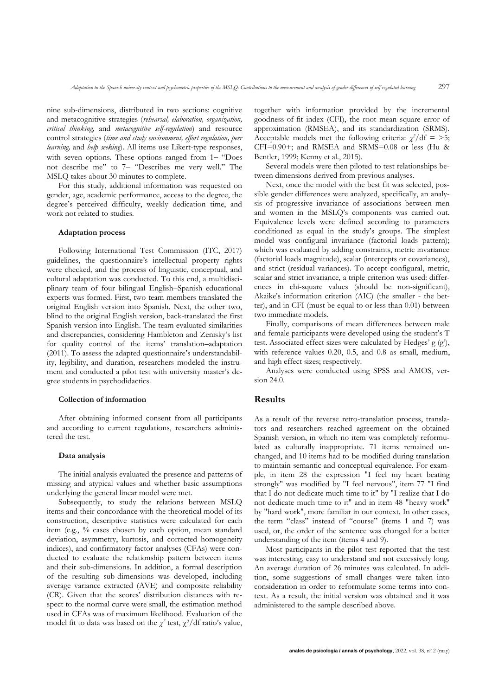nine sub-dimensions, distributed in two sections: cognitive and metacognitive strategies (*rehearsal, elaboration, organization, critical thinking,* and *metacognitive self-regulation*) and resource control strategies (*time and study environment, effort regulation, peer learning,* and *help seeking*). All items use Likert-type responses, with seven options. These options ranged from 1– "Does not describe me" to 7‒ "Describes me very well." The MSLQ takes about 30 minutes to complete.

For this study, additional information was requested on gender, age, academic performance, access to the degree, the degree's perceived difficulty, weekly dedication time, and work not related to studies.

### **Adaptation process**

Following International Test Commission (ITC, 2017) guidelines, the questionnaire's intellectual property rights were checked, and the process of linguistic, conceptual, and cultural adaptation was conducted. To this end, a multidisciplinary team of four bilingual English–Spanish educational experts was formed. First, two team members translated the original English version into Spanish. Next, the other two, blind to the original English version, back-translated the first Spanish version into English. The team evaluated similarities and discrepancies, considering Hambleton and Zenisky's list for quality control of the items' translation–adaptation (2011). To assess the adapted questionnaire's understandability, legibility, and duration, researchers modeled the instrument and conducted a pilot test with university master's degree students in psychodidactics.

#### **Collection of information**

After obtaining informed consent from all participants and according to current regulations, researchers administered the test.

### **Data analysis**

The initial analysis evaluated the presence and patterns of missing and atypical values and whether basic assumptions underlying the general linear model were met.

Subsequently, to study the relations between MSLQ items and their concordance with the theoretical model of its construction, descriptive statistics were calculated for each item (e.g., % cases chosen by each option, mean standard deviation, asymmetry, kurtosis, and corrected homogeneity indices), and confirmatory factor analyses (CFAs) were conducted to evaluate the relationship pattern between items and their sub-dimensions. In addition, a formal description of the resulting sub-dimensions was developed, including average variance extracted (AVE) and composite reliability (CR). Given that the scores' distribution distances with respect to the normal curve were small, the estimation method used in CFAs was of maximum likelihood. Evaluation of the model fit to data was based on the  $\chi^2$  test,  $\chi^2$ /df ratio's value, together with information provided by the incremental goodness-of-fit index (CFI), the root mean square error of approximation (RMSEA), and its standardization (SRMS). Acceptable models met the following criteria:  $\chi^2/df = 5$ ; CFI=0.90+; and RMSEA and SRMS=0.08 or less (Hu & Bentler, 1999; Kenny et al., 2015).

Several models were then piloted to test relationships between dimensions derived from previous analyses.

Next, once the model with the best fit was selected, possible gender differences were analyzed, specifically, an analysis of progressive invariance of associations between men and women in the MSLQ's components was carried out. Equivalence levels were defined according to parameters conditioned as equal in the study's groups. The simplest model was configural invariance (factorial loads pattern); which was evaluated by adding constraints, metric invariance (factorial loads magnitude), scalar (intercepts or covariances), and strict (residual variances). To accept configural, metric, scalar and strict invariance, a triple criterion was used: differences in chi-square values (should be non-significant), Akaike's information criterion (AIC) (the smaller - the better), and in CFI (must be equal to or less than 0.01) between two immediate models.

Finally, comparisons of mean differences between male and female participants were developed using the student's T test. Associated effect sizes were calculated by Hedges' g (g'), with reference values 0.20, 0.5, and 0.8 as small, medium, and high effect sizes; respectively.

Analyses were conducted using SPSS and AMOS, version 24.0.

# **Results**

As a result of the reverse retro-translation process, translators and researchers reached agreement on the obtained Spanish version, in which no item was completely reformulated as culturally inappropriate. 71 items remained unchanged, and 10 items had to be modified during translation to maintain semantic and conceptual equivalence. For example, in item 28 the expression "I feel my heart beating strongly" was modified by "I feel nervous", item 77 "I find that I do not dedicate much time to it" by "I realize that I do not dedicate much time to it" and in item 48 "heavy work" by "hard work", more familiar in our context. In other cases, the term "class" instead of "course" (items 1 and 7) was used, or, the order of the sentence was changed for a better understanding of the item (items 4 and 9).

Most participants in the pilot test reported that the test was interesting, easy to understand and not excessively long. An average duration of 26 minutes was calculated. In addition, some suggestions of small changes were taken into consideration in order to reformulate some terms into context. As a result, the initial version was obtained and it was administered to the sample described above.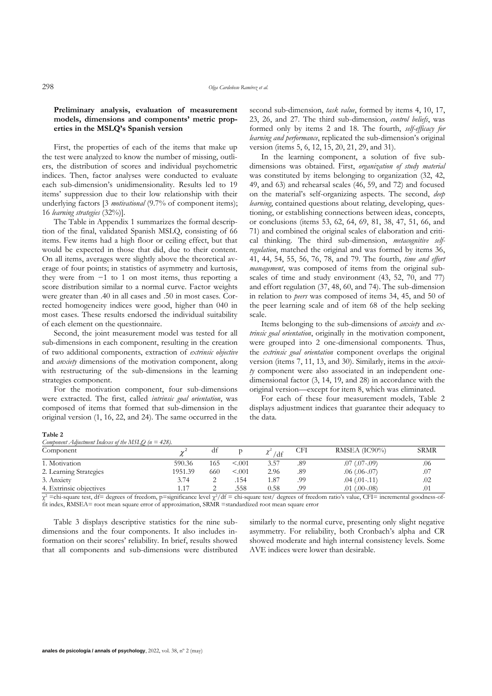# **Preliminary analysis, evaluation of measurement models, dimensions and components' metric properties in the MSLQ's Spanish version**

First, the properties of each of the items that make up the test were analyzed to know the number of missing, outliers, the distribution of scores and individual psychometric indices. Then, factor analyses were conducted to evaluate each sub-dimension's unidimensionality. Results led to 19 items' suppression due to their low relationship with their underlying factors [3 *motivational* (9.7% of component items); 16 *learning strategies* (32%)].

The Table in Appendix 1 summarizes the formal description of the final, validated Spanish MSLQ, consisting of 66 items. Few items had a high floor or ceiling effect, but that would be expected in those that did, due to their content. On all items, averages were slightly above the theoretical average of four points; in statistics of asymmetry and kurtosis, they were from −1 to 1 on most items, thus reporting a score distribution similar to a normal curve. Factor weights were greater than .40 in all cases and .50 in most cases. Corrected homogeneity indices were good, higher than 040 in most cases. These results endorsed the individual suitability of each element on the questionnaire.

Second, the joint measurement model was tested for all sub-dimensions in each component, resulting in the creation of two additional components, extraction of *extrinsic objective* and *anxiety* dimensions of the motivation component, along with restructuring of the sub-dimensions in the learning strategies component.

For the motivation component, four sub-dimensions were extracted. The first, called *intrinsic goal orientation*, was composed of items that formed that sub-dimension in the original version (1, 16, 22, and 24). The same occurred in the second sub-dimension, *task value*, formed by items 4, 10, 17, 23, 26, and 27. The third sub-dimension, *control beliefs*, was formed only by items 2 and 18. The fourth, *self-efficacy for learning and performance*, replicated the sub-dimension's original version (items 5, 6, 12, 15, 20, 21, 29, and 31).

In the learning component, a solution of five subdimensions was obtained. First, *organization of study material* was constituted by items belonging to organization (32, 42, 49, and 63) and rehearsal scales (46, 59, and 72) and focused on the material's self-organizing aspects. The second, *deep learning*, contained questions about relating, developing, questioning, or establishing connections between ideas, concepts, or conclusions (items 53, 62, 64, 69, 81, 38, 47, 51, 66, and 71) and combined the original scales of elaboration and critical thinking. The third sub-dimension, *metacognitive selfregulation*, matched the original and was formed by items 36, 41, 44, 54, 55, 56, 76, 78, and 79. The fourth, *time and effort management*, was composed of items from the original subscales of time and study environment (43, 52, 70, and 77) and effort regulation (37, 48, 60, and 74). The sub-dimension in relation to *peers* was composed of items 34, 45, and 50 of the peer learning scale and of item 68 of the help seeking scale.

Items belonging to the sub-dimensions of *anxiety* and *extrinsic goal orientation*, originally in the motivation component, were grouped into 2 one-dimensional components. Thus, the *extrinsic goal orientation* component overlaps the original version (items 7, 11, 13, and 30). Similarly, items in the *anxiety* component were also associated in an independent onedimensional factor (3, 14, 19, and 28) in accordance with the original version—except for item 8, which was eliminated.

For each of these four measurement models, Table 2 displays adjustment indices that guarantee their adequacy to the data.

#### **Table 2**

| Component Adjustment Indexes of the MSLO ( $n = 428$ ). |  |  |  |
|---------------------------------------------------------|--|--|--|
|                                                         |  |  |  |

| Component               | $\sim$  | dt  |         | /df  | CFI | RMSEA (IC90%)       | <b>SRMR</b> |
|-------------------------|---------|-----|---------|------|-----|---------------------|-------------|
| 1. Motivation           | 590.36  | 165 | < 0.001 | 3.57 | .89 | $.07$ (.07 $-.09$ ) | .06         |
| 2. Learning Strategies  | 1951.39 | 660 | < 0.001 | 2.96 | .89 | $.06$ $(.06-.07)$   | .07         |
| 3. Anxiety              | 3.74    | -   | .154    | 1.87 | .99 | $.04$ $(.01-.11)$   | .02         |
| 4. Extrinsic objectives |         |     | .558    | 0.58 | .99 | $.01$ $(.00-.08)$   | .01         |

χ <sup>2</sup> =chi-square test, df= degrees of freedom, p=significance level χ2/df = chi-square test/ degrees of freedom ratio's value, CFI= incremental goodness-offit index, RMSEA= root mean square error of approximation, SRMR =standardized root mean square error

Table 3 displays descriptive statistics for the nine subdimensions and the four components. It also includes information on their scores' reliability. In brief, results showed that all components and sub-dimensions were distributed similarly to the normal curve, presenting only slight negative asymmetry. For reliability, both Cronbach's alpha and CR showed moderate and high internal consistency levels. Some AVE indices were lower than desirable.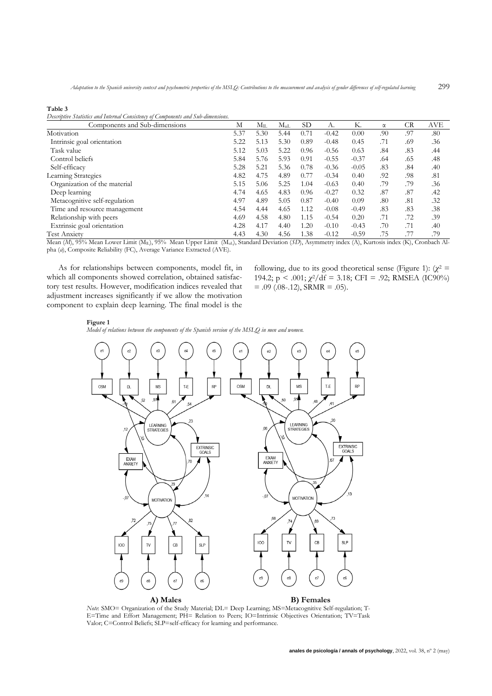| n<br>,,, |  |
|----------|--|
|----------|--|

*Descriptive Statistics and Internal Consistency of Components and Sub-dimensions.*

| Components and Sub-dimensions | М    | $M_{II}$ | $M_{ul}$ | SD.  | А.      | Κ.      | $\alpha$ | <b>CR</b> | <b>AVE</b> |
|-------------------------------|------|----------|----------|------|---------|---------|----------|-----------|------------|
| Motivation                    | 5.37 | 5.30     | 5.44     | 0.71 | $-0.42$ | 0.00    | .90      | .97       | .80        |
| Intrinsic goal orientation    | 5.22 | 5.13     | 5.30     | 0.89 | $-0.48$ | 0.45    | .71      | .69       | .36        |
| Task value                    | 5.12 | 5.03     | 5.22     | 0.96 | $-0.56$ | 0.63    | .84      | .83       | .44        |
| Control beliefs               | 5.84 | 5.76     | 5.93     | 0.91 | $-0.55$ | $-0.37$ | .64      | .65       | .48        |
| Self-efficacy                 | 5.28 | 5.21     | 5.36     | 0.78 | $-0.36$ | $-0.05$ | .83      | .84       | .40        |
| Learning Strategies           | 4.82 | 4.75     | 4.89     | 0.77 | $-0.34$ | 0.40    | .92      | .98       | .81        |
| Organization of the material  | 5.15 | 5.06     | 5.25     | 1.04 | $-0.63$ | 0.40    | .79      | .79       | .36        |
| Deep learning                 | 4.74 | 4.65     | 4.83     | 0.96 | $-0.27$ | 0.32    | .87      | .87       | .42        |
| Metacognitive self-regulation | 4.97 | 4.89     | 5.05     | 0.87 | $-0.40$ | 0.09    | .80      | .81       | .32        |
| Time and resource management  | 4.54 | 4.44     | 4.65     | 1.12 | $-0.08$ | $-0.49$ | .83      | .83       | .38        |
| Relationship with peers       | 4.69 | 4.58     | 4.80     | 1.15 | $-0.54$ | 0.20    | .71      | .72       | .39        |
| Extrinsic goal orientation    | 4.28 | 4.17     | 4.40     | 1.20 | $-0.10$ | $-0.43$ | .70      | .71       | .40        |
| <b>Test Anxiety</b>           | 4.43 | 4.30     | 4.56     | 1.38 | $-0.12$ | $-0.59$ | .75      |           | .79        |

Mean (*M*), 95% Mean Lower Limit (M<sub>IL</sub>), 95% Mean Upper Limit (M<sub>uL</sub>), Standard Deviation (*SD*), Asymmetry index (A), Kurtosis index (K), Cronbach Alpha (*α*), Composite Reliability (FC), Average Variance Extracted (AVE).

As for relationships between components, model fit, in which all components showed correlation, obtained satisfactory test results. However, modification indices revealed that adjustment increases significantly if we allow the motivation component to explain deep learning. The final model is the

following, due to its good theoretical sense (Figure 1):  $(\chi^2$  = 194.2;  $p < .001$ ;  $\chi^2/df = 3.18$ ; CFI = .92; RMSEA (IC90%)  $= .09$  (.08-.12), SRMR  $= .05$ ).

#### **Figure 1**

*Model of relations between the components of the Spanish version of the MSLQ in men and women.*



*Note*: SMO= Organization of the Study Material; DL= Deep Learning; MS=Metacognitive Self-regulation; T-E=Time and Effort Management; PH= Relation to Peers; IO=Intrinsic Objectives Orientation; TV=Task Valor; C=Control Beliefs; SLP=self-efficacy for learning and performance.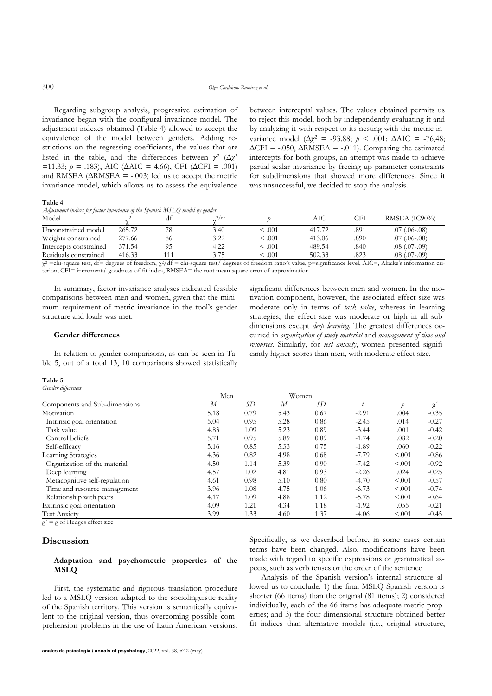Regarding subgroup analysis, progressive estimation of invariance began with the configural invariance model. The adjustment indexes obtained (Table 4) allowed to accept the equivalence of the model between genders. Adding restrictions on the regressing coefficients, the values that are listed in the table, and the differences between  $\chi^2$  ( $\Delta \chi^2$  $=$ 11.33; *p* = .183), AIC (ΔAIC = 4.66), CFI (ΔCFI = .001) and RMSEA ( $\triangle$ RMSEA = -.003) led us to accept the metric invariance model, which allows us to assess the equivalence between interceptal values. The values obtained permits us to reject this model, both by independently evaluating it and by analyzing it with respect to its nesting with the metric invariance model ( $Δχ² = -93.88$ ;  $p < .001$ ;  $ΔAIC = -76,48$ ;  $\Delta$ CFI = -.050,  $\Delta$ RMSEA = -.011). Comparing the estimated intercepts for both groups, an attempt was made to achieve partial scalar invariance by freeing up parameter constraints for subdimensions that showed more differences. Since it was unsuccessful, we decided to stop the analysis.

**Table 4**

*Adjustment indices for factor invariance of the Spanish MSLQ model by gender.*

| Model                           |                         |          | 2/df        |              | AІC         | CFI  | RMSEA (IC90%)          |
|---------------------------------|-------------------------|----------|-------------|--------------|-------------|------|------------------------|
| Unconstrained model             | 265.72                  |          | 3.40        | $\leq 0.001$ | 417.72      | .891 | $.07$ $(.06-.08)$      |
| Weights constrained             | 277.66                  | 86       | 3.22        | $\leq 0.001$ | 413.06      | .890 | $.07$ (.06-.08)        |
| Intercepts constrained          | 371.54                  |          | 4.22        | $\leq 0.001$ | 489.54      | .840 | $.08$ $(.07-.09)$      |
| Residuals constrained<br>.<br>. | 416.33<br>$\sim$ $\sim$ | .<br>. . | 3.75<br>. . | 5.001<br>.   | 502.33<br>. | .823 | $.08$ $(.07-.09)$<br>. |

 $\chi^2$  =chi-square test, df = degrees of freedom,  $\chi^2$ /df = chi-square test/ degrees of freedom ratio's value, p=significance level, AIC=, Akaike's information criterion, CFI= incremental goodness-of-fit index, RMSEA= the root mean square error of approximation

In summary, factor invariance analyses indicated feasible comparisons between men and women, given that the minimum requirement of metric invariance in the tool's gender structure and loads was met.

# significant differences between men and women. In the motivation component, however, the associated effect size was moderate only in terms of *task value*, whereas in learning strategies, the effect size was moderate or high in all subdimensions except *deep learning*. The greatest differences occurred in *organization of study material* and *management of time and resources*. Similarly, for *test anxiety*, women presented significantly higher scores than men, with moderate effect size.

**Gender differences**

In relation to gender comparisons, as can be seen in Table 5, out of a total 13, 10 comparisons showed statistically

#### **Table 5** *Gender differences*

| Genuer aggerences             |      |      |       |      |         |         |         |
|-------------------------------|------|------|-------|------|---------|---------|---------|
|                               | Men  |      | Women |      |         |         |         |
| Components and Sub-dimensions | М    | SD   | М     | SD   |         |         | g       |
| Motivation                    | 5.18 | 0.79 | 5.43  | 0.67 | $-2.91$ | .004    | $-0.35$ |
| Intrinsic goal orientation    | 5.04 | 0.95 | 5.28  | 0.86 | $-2.45$ | .014    | $-0.27$ |
| Task value                    | 4.83 | 1.09 | 5.23  | 0.89 | $-3.44$ | .001    | $-0.42$ |
| Control beliefs               | 5.71 | 0.95 | 5.89  | 0.89 | $-1.74$ | .082    | $-0.20$ |
| Self-efficacy                 | 5.16 | 0.85 | 5.33  | 0.75 | $-1.89$ | .060    | $-0.22$ |
| Learning Strategies           | 4.36 | 0.82 | 4.98  | 0.68 | $-7.79$ | < 0.001 | $-0.86$ |
| Organization of the material  | 4.50 | 1.14 | 5.39  | 0.90 | $-7.42$ | < 0.001 | $-0.92$ |
| Deep learning                 | 4.57 | 1.02 | 4.81  | 0.93 | $-2.26$ | .024    | $-0.25$ |
| Metacognitive self-regulation | 4.61 | 0.98 | 5.10  | 0.80 | $-4.70$ | < 0.001 | $-0.57$ |
| Time and resource management  | 3.96 | 1.08 | 4.75  | 1.06 | $-6.73$ | < 0.001 | $-0.74$ |
| Relationship with peers       | 4.17 | 1.09 | 4.88  | 1.12 | $-5.78$ | < 0.001 | $-0.64$ |
| Extrinsic goal orientation    | 4.09 | 1.21 | 4.34  | 1.18 | $-1.92$ | .055    | $-0.21$ |
| <b>Test Anxiety</b>           | 3.99 | 1.33 | 4.60  | 1.37 | $-4.06$ | < .001  | $-0.45$ |

 $g' = g$  of Hedges effect size

# **Discussion**

## **Adaptation and psychometric properties of the MSLQ**

First, the systematic and rigorous translation procedure led to a MSLQ version adapted to the sociolinguistic reality of the Spanish territory. This version is semantically equivalent to the original version, thus overcoming possible comprehension problems in the use of Latin American versions.

Specifically, as we described before, in some cases certain terms have been changed. Also, modifications have been made with regard to specific expressions or grammatical aspects, such as verb tenses or the order of the sentence

Analysis of the Spanish version's internal structure allowed us to conclude: 1) the final MSLQ Spanish version is shorter (66 items) than the original (81 items); 2) considered individually, each of the 66 items has adequate metric properties; and 3) the four-dimensional structure obtained better fit indices than alternative models (i.e., original structure,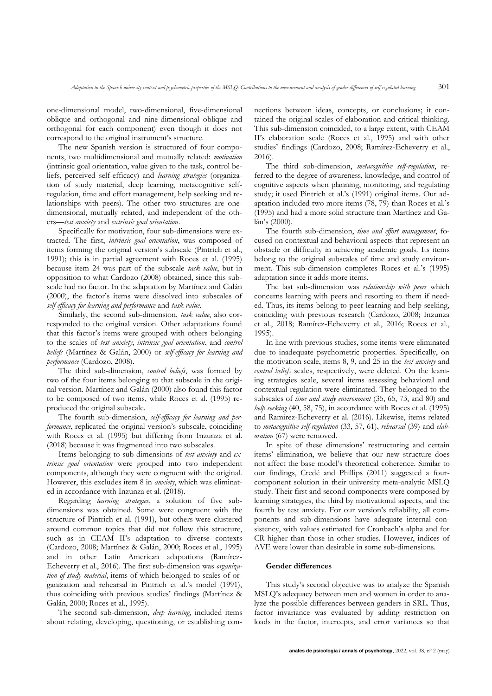one-dimensional model, two-dimensional, five-dimensional oblique and orthogonal and nine-dimensional oblique and orthogonal for each component) even though it does not correspond to the original instrument's structure.

The new Spanish version is structured of four components, two multidimensional and mutually related: *motivation* (intrinsic goal orientation, value given to the task, control beliefs, perceived self-efficacy) and *learning strategies* (organization of study material, deep learning, metacognitive selfregulation, time and effort management, help seeking and relationships with peers). The other two structures are onedimensional, mutually related, and independent of the others—*test anxiety* and *extrinsic goal orientation*.

Specifically for motivation, four sub-dimensions were extracted. The first, *intrinsic goal orientation*, was composed of items forming the original version's subscale (Pintrich et al., 1991); this is in partial agreement with Roces et al. (1995) because item 24 was part of the subscale *task value*, but in opposition to what Cardozo (2008) obtained, since this subscale had no factor. In the adaptation by Martínez and Galán (2000), the factor's items were dissolved into subscales of *self-efficacy for learning and performance* and *task value*.

Similarly, the second sub-dimension, *task value*, also corresponded to the original version. Other adaptations found that this factor's items were grouped with others belonging to the scales of *test anxiety*, *intrinsic goal orientation*, and *control beliefs* (Martínez & Galán, 2000) or *self-efficacy for learning and performance* (Cardozo, 2008).

The third sub-dimension, *control beliefs*, was formed by two of the four items belonging to that subscale in the original version. Martínez and Galán (2000) also found this factor to be composed of two items, while Roces et al. (1995) reproduced the original subscale.

The fourth sub-dimension, *self-efficacy for learning and performance*, replicated the original version's subscale, coinciding with Roces et al. (1995) but differing from Inzunza et al. (2018) because it was fragmented into two subscales.

Items belonging to sub-dimensions of *test anxiety* and *extrinsic goal orientation* were grouped into two independent components, although they were congruent with the original. However, this excludes item 8 in *anxiety*, which was eliminated in accordance with Inzunza et al. (2018).

Regarding *learning strategies*, a solution of five subdimensions was obtained. Some were congruent with the structure of Pintrich et al. (1991), but others were clustered around common topics that did not follow this structure, such as in CEAM II's adaptation to diverse contexts (Cardozo, 2008; Martínez & Galán, 2000; Roces et al., 1995) and in other Latin American adaptations (Ramírez-Echeverry et al., 2016). The first sub-dimension was *organization of study material*, items of which belonged to scales of organization and rehearsal in Pintrich et al.'s model (1991), thus coinciding with previous studies' findings (Martínez & Galán, 2000; Roces et al., 1995).

The second sub-dimension, *deep learning*, included items about relating, developing, questioning, or establishing connections between ideas, concepts, or conclusions; it contained the original scales of elaboration and critical thinking. This sub-dimension coincided, to a large extent, with CEAM II's elaboration scale (Roces et al., 1995) and with other studies' findings (Cardozo, 2008; Ramírez-Echeverry et al., 2016).

The third sub-dimension, *metacognitive self-regulation*, referred to the degree of awareness, knowledge, and control of cognitive aspects when planning, monitoring, and regulating study; it used Pintrich et al.'s (1991) original items. Our adaptation included two more items (78, 79) than Roces et al.'s (1995) and had a more solid structure than Martínez and Galán's (2000).

The fourth sub-dimension, *time and effort management*, focused on contextual and behavioral aspects that represent an obstacle or difficulty in achieving academic goals. Its items belong to the original subscales of time and study environment. This sub-dimension completes Roces et al.'s (1995) adaptation since it adds more items.

The last sub-dimension was *relationship with peers* which concerns learning with peers and resorting to them if needed. Thus, its items belong to peer learning and help seeking, coinciding with previous research (Cardozo, 2008; Inzunza et al., 2018; Ramírez-Echeverry et al., 2016; Roces et al., 1995).

In line with previous studies, some items were eliminated due to inadequate psychometric properties. Specifically, on the motivation scale, items 8, 9, and 25 in the *test anxiety* and *control beliefs* scales, respectively, were deleted. On the learning strategies scale, several items assessing behavioral and contextual regulation were eliminated. They belonged to the subscales of *time and study environment* (35, 65, 73, and 80) and *help seeking* (40, 58, 75), in accordance with Roces et al. (1995) and Ramírez-Echeverry et al. (2016). Likewise, items related to *metacognitive self-regulation* (33, 57, 61), *rehearsal* (39) and *elaboration* (67) were removed.

In spite of these dimensions' restructuring and certain items' elimination, we believe that our new structure does not affect the base model's theoretical coherence. Similar to our findings, Credé and Phillips (2011) suggested a fourcomponent solution in their university meta-analytic MSLQ study. Their first and second components were composed by learning strategies, the third by motivational aspects, and the fourth by test anxiety. For our version's reliability, all components and sub-dimensions have adequate internal consistency, with values estimated for Cronbach's alpha and for CR higher than those in other studies. However, indices of AVE were lower than desirable in some sub-dimensions.

# **Gender differences**

This study's second objective was to analyze the Spanish MSLQ's adequacy between men and women in order to analyze the possible differences between genders in SRL. Thus, factor invariance was evaluated by adding restriction on loads in the factor, intercepts, and error variances so that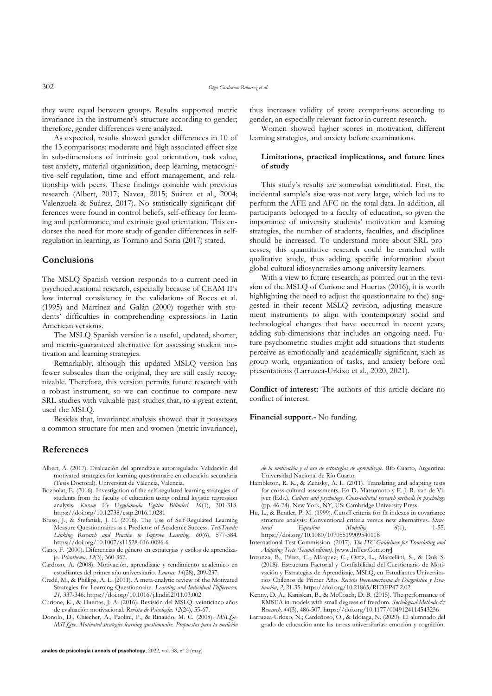302 *Olga Cardeñoso Ramírez et al.*

they were equal between groups. Results supported metric invariance in the instrument's structure according to gender; therefore, gender differences were analyzed.

As expected, results showed gender differences in 10 of the 13 comparisons: moderate and high associated effect size in sub-dimensions of intrinsic goal orientation, task value, test anxiety, material organization, deep learning, metacognitive self-regulation, time and effort management, and relationship with peers. These findings coincide with previous research (Albert, 2017; Navea, 2015; Suárez et al., 2004; Valenzuela & Suárez, 2017). No statistically significant differences were found in control beliefs, self-efficacy for learning and performance, and extrinsic goal orientation. This endorses the need for more study of gender differences in selfregulation in learning, as Torrano and Soria (2017) stated.

# **Conclusions**

The MSLQ Spanish version responds to a current need in psychoeducational research, especially because of CEAM II's low internal consistency in the validations of Roces et al. (1995) and Martínez and Galán (2000) together with students' difficulties in comprehending expressions in Latin American versions.

The MSLQ Spanish version is a useful, updated, shorter, and metric-guaranteed alternative for assessing student motivation and learning strategies.

Remarkably, although this updated MSLQ version has fewer subscales than the original, they are still easily recognizable. Therefore, this version permits future research with a robust instrument, so we can continue to compare new SRL studies with valuable past studies that, to a great extent, used the MSLQ.

Besides that, invariance analysis showed that it possesses a common structure for men and women (metric invariance),

# **References**

- Albert, A. (2017). Evaluación del aprendizaje autorregulado: Validación del motivated strategies for learning questionnaire en educación secundaria (Tesis Doctoral). Universitat de Vàlencia, Valencia.
- Bozpolat, E. (2016). Investigation of the self-regulated learning strategies of students from the faculty of education using ordinal logistic regression analysis. *Kuram Ve Uygulamada Egitim Bilimleri, 16*(1), 301-318. https://doi.org/10.12738/estp.2016.1.0281
- Bruso, J., & Stefaniak, J. E. (2016). The Use of Self-Regulated Learning Measure Questionnaires as a Predictor of Academic Success. *TechTrends: Linking Research and Practice to Improve Learning, 60*(6), 577-584. https://doi.org/10.1007/s11528-016-0096-6
- Cano, F. (2000). Diferencias de género en estrategias y estilos de aprendizaje. *Psicothema, 12*(3), 360-367.
- Cardozo, A. (2008). Motivación, aprendizaje y rendimiento académico en estudiantes del primer año universitario. *Laurus, 14*(28), 209-237.
- Credé, M., & Phillips, A. L. (2011). A meta-analytic review of the Motivated Strategies for Learning Questionnaire. *Learning and Individual Differences, 21,* 337-346. https://doi.org/10.1016/j.lindif.2011.03.002
- Curione, K., & Huertas, J. A. (2016). Revisión del MSLQ: veinticinco años de evaluación motivacional. *Revista de Psicología, 12*(24), 55-67.
- Donolo, D., Chiecher, A., Paolini, P., & Rinaudo, M. C. (2008). *MSLQe-MSLQvv. Motivated strategies learning questionnaire. Propuestas para la medición*

thus increases validity of score comparisons according to gender, an especially relevant factor in current research.

Women showed higher scores in motivation, different learning strategies, and anxiety before examinations.

# **Limitations, practical implications, and future lines of study**

This study's results are somewhat conditional. First, the incidental sample's size was not very large, which led us to perform the AFE and AFC on the total data. In addition, all participants belonged to a faculty of education, so given the importance of university students' motivation and learning strategies, the number of students, faculties, and disciplines should be increased. To understand more about SRL processes, this quantitative research could be enriched with qualitative study, thus adding specific information about global cultural idiosyncrasies among university learners.

With a view to future research, as pointed out in the revision of the MSLQ of Curione and Huertas (2016), it is worth highlighting the need to adjust the questionnaire to the) suggested in their recent MSLQ revision, adjusting measurement instruments to align with contemporary social and technological changes that have occurred in recent years, adding sub-dimensions that includes an ongoing need. Future psychometric studies might add situations that students perceive as emotionally and academically significant, such as group work, organization of tasks, and anxiety before oral presentations (Larruzea-Urkixo et al., 2020, 2021).

**Conflict of interest:** The authors of this article declare no conflict of interest.

**Financial support.-** No funding.

*de la motivación y el uso de estrategias de aprendizaje.* Río Cuarto, Argentina: Universidad Nacional de Río Cuarto.

- Hambleton, R. K., & Zenisky, A. L. (2011). Translating and adapting tests for cross-cultural assessments. En D. Matsumoto y F. J. R. van de Vijver (Eds.), *Culture and psychology. Cross-cultural research methods in psychology* (pp. 46-74). New York, NY, US: Cambridge University Press.
- Hu, L., & Bentler, P. M. (1999). Cutoff criteria for fit indexes in covariance structure analysis: Conventional criteria versus new alternatives. *Structural Equation Modeling, 6*(1), 1-55. https://doi.org[/10.1080/10705519909540118](https://psycnet.apa.org/doi/10.1080/10705519909540118)
- International Test Commission. (2017). *The ITC Guidelines for Translating and Adapting Tests (Second edition).* [www.InTestCom.org]
- Inzunza, B., Pérez, C., Márquez, C., Ortiz, L., Marcellini, S., & Duk S. (2018). Estructura Factorial y Confiabilidad del Cuestionario de Motivación y Estrategias de Aprendizaje, MSLQ, en Estudiantes Universitarios Chilenos de Primer Año. *Revista Iberoamericana de Diagnóstico y Evaluación*, *2*, 21-35. https://doi.org/10.21865/RIDEP47.2.02
- Kenny, D. A., Kaniskan, B., & McCoach, D. B. (2015). The performance of RMSEA in models with small degrees of freedom. *Sociological Methods & Research, 44*(3), 486-507. https://doi.org[/10.1177/0049124114543236](https://psycnet.apa.org/doi/10.1177/0049124114543236)
- Larruzea-Urkixo, N.; Cardeñoso, O., & Idoiaga, N. (2020). El alumnado del grado de educación ante las tareas universitarias: emoción y cognición.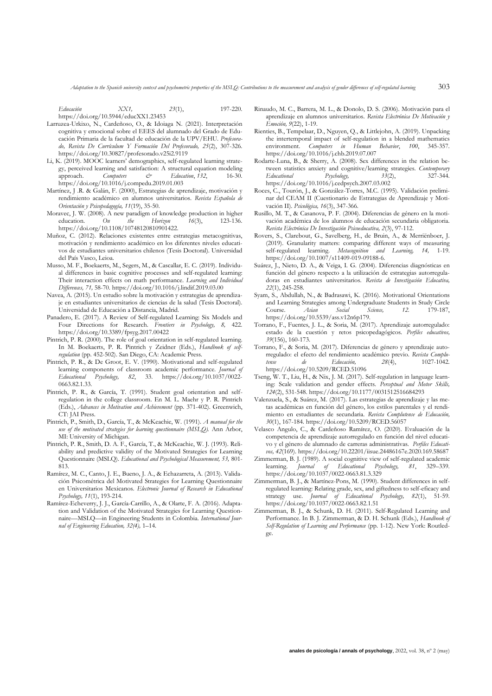*Adaptation to the Spanish university context and psychometric properties of the MSLQ: Contributions to the measurement and analysis of gender differences of self-regulated learning* 303

*Educación XX1, 23*(1), 197-220. https://doi.org/10.5944/educXX1.23453

- Larruzea-Urkixo, N., Cardeñoso, O., & Idoiaga N. (2021). Interpretación cognitiva y emocional sobre el EEES del alumnado del Grado de Educación Primaria de la facultad de educación de la UPV/EHU. *Profesorado, Revista De Currículum Y Formación Del Profesorado, 25*(2), 307-326. https://doi.org/10.30827/profesorado.v25i2.9119
- Li, K. (2019). MOOC learners' demographics, self-regulated learning strategy, perceived learning and satisfaction: A structural equation modeling<br>approach. Computers  $\stackrel{\sim}{\sim}$  Education, 132, 16-30. Education, 132, https://doi.org/10.1016/j.compedu.2019.01.003
- Martínez, J .R. & Galán, F. (2000), Estrategias de aprendizaje, motivación y rendimiento académico en alumnos universitarios. *Revista Española de Orientación y Psicopedagogía, 11*(19), 35-50.
- Moravec, J. W. (2008). A new paradigm of knowledge production in higher education. On the Horizon  $16(3)$ , 123-136. education. *On the Horizon 16*(3), 123-136. https://doi.org/10.1108/10748120810901422.
- Muñoz, C. (2012). Relaciones existentes entre estrategias metacognitivas, motivación y rendimiento académico en los diferentes niveles educativos de estudiantes universitarios chilenos (Tesis Doctoral). Universidad del País Vasco, Leioa.
- Musso, M. F., Boekaerts, M., Segers, M., & Cascallar, E. C. (2019). Individual differences in basic cognitive processes and self-regulated learning: Their interaction effects on math performance. *Learning and Individual Differences, 71,* 58-70. https://doi.org[/10.1016/j.lindif.2019.03.00](https://doi.org/10.1016/j.lindif.2019.03.003)
- Navea, A. (2015). Un estudio sobre la motivación y estrategias de aprendizaje en estudiantes universitarios de ciencias de la salud (Tesis Doctoral). Universidad de Educación a Distancia, Madrid.
- Panadero, E. (2017). A Review of Self-regulated Learning: Six Models and Four Directions for Research. *Frontiers in Psychology, 8,* 422. https://doi.org/10.3389/fpsyg.2017.00422
- Pintrich, P. R. (2000). The role of goal orientation in self-regulated learning. In M. Boekaerts, P. R. Pintrich y Zeidner (Eds.), *Handbook of selfregulation* (pp. 452-502). San Diego, CA: Academic Press.
- Pintrich, P. R., & De Groot, E. V. (1990). Motivational and self-regulated learning components of classroom academic performance*. Journal of Educational Psychology, 82*, 33. https://doi.org/10.1037/0022- 0663.82.1.33.
- Pintrich, P. R., & García, T. (1991). Student goal orientation and selfregulation in the college classroom. En M. L. Maehr y P. R. Pintrich (Eds.), *Advances in Motivation and Achievement* (pp. 371-402). Greenwich, CT: JAI Press.
- Pintrich, P., Smith, D., García, T., & McKeachie, W. (1991). *A manual for the use of the motivated strategies for learning questionnaire (MSLQ).* Ann Arbor, MI: University of Michigan.
- Pintrich, P. R., Smith, D. A. F., García, T., & McKeachie, W. J. (1993). Reliability and predictive validity of the Motivated Strategies for Learning Questionnaire (MSLQ). *Educational and Psychological Measurement, 53,* 801- 813.
- Ramírez, M. C., Canto, J. E., Bueno, J. A., & Echazarreta, A. (2013). Validación Psicométrica del Motivated Strategies for Learning Questionnaire en Universitarios Mexicanos. *Electronic Journal of Research in Educational Psychology, 11*(1), 193-214.
- Ramírez-Echeverry, J. J., García-Carrillo, A., & Olarte, F. A. (2016). Adaptation and Validation of the Motivated Strategies for Learning Questionnaire—MSLQ—in Engineering Students in Colombia. *International Journal of Engineering Education, 32(4),* 1–14.
- Rinaudo, M. C., Barrera, M. L., & Donolo, D. S. (2006). Motivación para el aprendizaje en alumnos universitarios. *Revista Electrónica De Motivación y Emoción, 9*(22), 1-19.
- Rienties, [B., Tempelaar, D.,](https://cris.maastrichtuniversity.nl/portal/en/persons/dirk-tempelaar(5191da3d-657f-4a88-a64f-98e862033691)/publications.html) Nguyen, Q., & Littlejohn, A. (2019)[. Unpacking](https://cris.maastrichtuniversity.nl/portal/en/publications/unpacking-the-intertemporal-impact-of-selfregulation-in-a-blended-mathematics-environment(759e39ba-493a-4f5b-8c79-017a5358a320).html) [the intertemporal impact of self-regulation in a blended mathematics](https://cris.maastrichtuniversity.nl/portal/en/publications/unpacking-the-intertemporal-impact-of-selfregulation-in-a-blended-mathematics-environment(759e39ba-493a-4f5b-8c79-017a5358a320).html)  [environment.](https://cris.maastrichtuniversity.nl/portal/en/publications/unpacking-the-intertemporal-impact-of-selfregulation-in-a-blended-mathematics-environment(759e39ba-493a-4f5b-8c79-017a5358a320).html) *[Computers in Human Behavior](https://cris.maastrichtuniversity.nl/portal/en/journals/computers-in-human-behavior(2e3cb7bd-8bb4-4aa2-9d7c-299e4c4d0ff9).html)*, *100*, 345-357. https://doi.org[/10.1016/j.chb.2019.07.007](https://doi.org/10.1016/j.chb.2019.07.007)
- Rodarte-Luna, B., & Sherry, A. (2008). Sex differences in the relation between statistics anxiety and cognitive/learning strategies. *Contemporary*   $P$ *sychology*, https://doi.org[/10.1016/j.cedpsych.2007.03.002](https://psycnet.apa.org/doi/10.1016/j.cedpsych.2007.03.002)
- Roces, C., Tourón, J., & González-Torres, M.C. (1995). Validación preliminar del CEAM II (Cuestionario de Estrategias de Aprendizaje y Motivación II). *Psicológica, 16*(3), 347-366.
- Rusillo, M. T., & Casanova, P. F. (2004). Diferencias de género en la motivación académica de los alumnos de educación secundaria obligatoria. *Revista Electrónica De Investigación Psicoeducativa, 2*(3), 97-112.
- Rovers, S., Clarebout, G., Savelberg, H., de Bruin, A., & Merriënboer, J. (2019). Granularity matters: comparing different ways of measuring self-regulated learning. *Metacopnition and Learning*. 14, 1-19. self-regulated learning. *Metacognition and Learning*, 14, https://doi.org/10.1007/s11409-019-09188-6.
- Suárez, J., Nieto, D. A., & Veiga, I. G. (2004). Diferencias diagnósticas en función del género respecto a la utilización de estrategias autorreguladoras en estudiantes universitarios. *Revista de Investigación Educativa, 22*(1), 245-258.
- Syam, S., Abdullah, N., & Badrasawi, K. (2016). Motivational Orientations and Learning Strategies among Undergraduate Students in Study Circle Course. *Asian Social Science, 12.* 179-187, https://doi.org/10.5539/ass.v12n6p179.
- Torrano, F., Fuentes, J. L., & Soria, M. (2017). Aprendizaje autorregulado: estado de la cuestión y retos psicopedagógicos. *Perfiles educativos, 39*(156), 160-173.
- Torrano, F., & Soria, M. (2017). Diferencias de género y aprendizaje autorregulado: el efecto del rendimiento académico previo. *Revista Complutense de Educación, 28*(4), 1027-1042. https://doi.org/10.5209/RCED.51096
- Tseng, W. T., Liu, H., & Nix, J. M. (2017). Self-regulation in language learning: Scale validation and gender effects. *Perceptual and Motor Skills, 124*(2), 531-548. https://doi.org/10.1177/0031512516684293
- Valenzuela, S., & Suárez, M. (2017). Las estrategias de aprendizaje y las metas académicas en función del género, los estilos parentales y el rendimiento en estudiantes de secundaria. *Revista Complutense de Educación, 30*(1), 167-184. https://doi.org[/10.5209/RCED.56057](https://doi.org/10.5209/RCED.56057)
- Velasco Angulo, C., & Cardeñoso Ramírez, O. (2020). Evaluación de la competencia de aprendizaje autorregulado en función del nivel educativo y el género de alumnado de carreras administrativas. *Perfiles Educativos, 42*(169). https://doi.org/10.22201/iisue.24486167e.2020.169.58687
- Zimmerman, B. J. (1989). A social cognitive view of self-regulated academic<br>learning. Journal of Educational Psychology, 81, 329-339. learning. *Journal* of Educational Psychology, https://doi.org/10.1037/0022-0663.81.3.329
- Zimmerman, B. J., & Martínez-Pons, M. (1990). Student differences in selfregulated learning: Relating grade, sex, and giftedness to self-eficacy and strategy use. *Journal of Educational Psychology, 82*(1), 51-59. https://doi.org/10.1037/0022-0663.82.1.51
- Zimmerman, B. J., & Schunk, D. H. (2011). Self-Regulated Learning and Performance. In B. J. Zimmerman, & D. H. Schunk (Eds.), *Handbook of Self-Regulation of Learning and Performance* (pp. 1-12). New York: Routledge.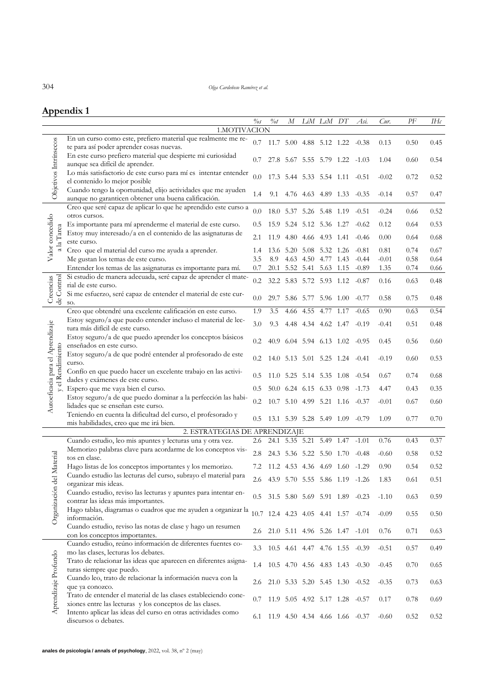304 *Olga Cardeñoso Ramírez et al.*

# **Appendix 1**

|                                                      |                                                                                                                             | $\%s$ | $\frac{\partial}{\partial t}$ | $\boldsymbol{M}$ | LiM                      | LsM       | DT        | Asi.                                | Cur.    | PF   | I H c |
|------------------------------------------------------|-----------------------------------------------------------------------------------------------------------------------------|-------|-------------------------------|------------------|--------------------------|-----------|-----------|-------------------------------------|---------|------|-------|
|                                                      | 1.MOTIVACION                                                                                                                |       |                               |                  |                          |           |           |                                     |         |      |       |
|                                                      | En un curso como este, prefiero material que realmente me re-<br>te para así poder aprender cosas nuevas.                   | 0.7   |                               |                  |                          |           |           | 11.7 5.00 4.88 5.12 1.22 -0.38      | 0.13    | 0.50 | 0.45  |
|                                                      | En este curso prefiero material que despierte mi curiosidad<br>aunque sea difícil de aprender.                              | 0.7   | 27.8                          | 5.67             | 5.55                     | 5.79      | - 1.22    | $-1.03$                             | 1.04    | 0.60 | 0.54  |
|                                                      | Lo más satisfactorio de este curso para mí es intentar entender<br>el contenido lo mejor posible                            | 0.0   | 17.3                          |                  | 5.44 5.33 5.54 1.11      |           |           | $-0.51$                             | $-0.02$ | 0.72 | 0.52  |
| Objetivos Intrínsecos                                | Cuando tengo la oportunidad, elijo actividades que me ayuden                                                                | 1.4   | 9.1                           |                  | 4.76 4.63 4.89 1.33      |           |           | $-0.35$                             | $-0.14$ | 0.57 | 0.47  |
|                                                      | aunque no garanticen obtener una buena calificación.<br>Creo que seré capaz de aplicar lo que he aprendido este curso a     | 0.0   |                               |                  |                          |           |           |                                     |         |      |       |
|                                                      | otros cursos.                                                                                                               |       |                               | 18.0 5.37 5.26   |                          | 5.48 1.19 |           | $-0.51$                             | $-0.24$ | 0.66 | 0.52  |
|                                                      | Es importante para mí aprenderme el material de este curso.<br>Estoy muy interesado/a en el contenido de las asignaturas de | 0.5   | 15.9                          | 5.24             | 5.12                     | 5.36 1.27 |           | $-0.62$                             | 0.12    | 0.64 | 0.53  |
| Valor concedido<br>la Tarea                          | este curso.                                                                                                                 | 2.1   | 11.9                          | 4.80             | 4.66                     | 4.93      | - 1.41    | $-0.46$                             | 0.00    | 0.64 | 0.68  |
| $\overline{\mathfrak{a}}$                            | Creo que el material del curso me ayuda a aprender.                                                                         | 1.4   | 13.6                          | 5.20             | 5.08                     | 5.32      | -1.26     | $-0.81$                             | 0.81    | 0.74 | 0.67  |
|                                                      | Me gustan los temas de este curso.                                                                                          | 3.5   | 8.9                           |                  | 4.63 4.50                | 4.77      | 1.43      | $-0.44$                             | $-0.01$ | 0.58 | 0.64  |
|                                                      | Entender los temas de las asignaturas es importante para mí.                                                                | 0.7   | 20.1                          | 5.52 5.41        |                          | 5.63 1.15 |           | $-0.89$                             | 1.35    | 0.74 | 0.66  |
|                                                      | Si estudio de manera adecuada, seré capaz de aprender el mate-<br>rial de este curso.                                       | 0.2   |                               |                  | 32.2 5.83 5.72 5.93 1.12 |           |           | $-0.87$                             | 0.16    | 0.63 | 0.48  |
| de Control<br>Creencias                              | Si me esfuerzo, seré capaz de entender el material de este cur-<br>SO.                                                      | 0.0   | 29.7                          |                  | 5.86 5.77                |           | 5.96 1.00 | $-0.77$                             | 0.58    | 0.75 | 0.48  |
|                                                      | Creo que obtendré una excelente calificación en este curso.                                                                 | 1.9   | 3.5                           | 4.66             | 4.55                     | 4.77      | 1.17      | $-0.65$                             | 0.90    | 0.63 | 0.54  |
| Autoeficacia para el Aprendizaje<br>y el Rendimiento | Estoy seguro/a que puedo entender incluso el material de lec-                                                               | 3.0   | 9.3                           |                  | 4.48 4.34                | 4.62 1.47 |           | $-0.19$                             | $-0.41$ | 0.51 | 0.48  |
|                                                      | tura más difícil de este curso.<br>Estoy seguro/a de que puedo aprender los conceptos básicos                               |       |                               |                  |                          |           |           |                                     |         |      |       |
|                                                      | enseñados en este curso.                                                                                                    | 0.2   | 40.9                          |                  | $6.04$ 5.94 $6.13$ 1.02  |           |           | $-0.95$                             | 0.45    | 0.56 | 0.60  |
|                                                      | Estoy seguro/a de que podré entender al profesorado de este<br>curso.                                                       | 0.2   | 14.0                          | 5.13 5.01        |                          | 5.25      | 1.24      | $-0.41$                             | $-0.19$ | 0.60 | 0.53  |
|                                                      | Confío en que puedo hacer un excelente trabajo en las activi-<br>dades y exámenes de este curso.                            | 0.5   |                               |                  | 11.0 5.25 5.14 5.35 1.08 |           |           | $-0.54$                             | 0.67    | 0.74 | 0.68  |
|                                                      | Espero que me vaya bien el curso.                                                                                           | 0.5   | 50.0                          | 6.24             | 6.15                     | 6.33      | -0.98     | $-1.73$                             | 4.47    | 0.43 | 0.35  |
|                                                      | Estoy seguro/a de que puedo dominar a la perfección las habi-<br>lidades que se enseñan este curso.                         | 0.2   | 10.7                          | 5.10             | 4.99                     | 5.21      | 1.16      | $-0.37$                             | $-0.01$ | 0.67 | 0.60  |
|                                                      | Teniendo en cuenta la dificultad del curso, el profesorado y<br>mis habilidades, creo que me irá bien.                      | 0.5   |                               |                  | 13.1 5.39 5.28 5.49 1.09 |           |           | $-0.79$                             | 1.09    | 0.77 | 0.70  |
|                                                      | 2. ESTRATEGIAS DE APRENDIZAJE                                                                                               |       |                               |                  |                          |           |           |                                     |         |      |       |
|                                                      | Cuando estudio, leo mis apuntes y lecturas una y otra vez.                                                                  | 2.6   | 24.1                          |                  | 5.35 5.21 5.49           |           | 1.47      | $-1.01$                             | 0.76    | 0.43 | 0.37  |
|                                                      | Memorizo palabras clave para acordarme de los conceptos vis-<br>tos en clase.                                               | 2.8   | 24.3                          | 5.36 5.22        |                          | 5.50      | -1.70     | $-0.48$                             | $-0.60$ | 0.58 | 0.52  |
|                                                      | Hago listas de los conceptos importantes y los memorizo.                                                                    | 7.2   | 11.2                          | 4.53             | 4.36                     | 4.69      | 1.60      | $-1.29$                             | 0.90    | 0.54 | 0.52  |
| del Material                                         | Cuando estudio las lecturas del curso, subrayo el material para<br>organizar mis ideas.                                     | 2.6   |                               |                  |                          |           |           | 43.9 5.70 5.55 5.86 1.19 -1.26      | 1.83    | 0.61 | 0.51  |
|                                                      | Cuando estudio, reviso las lecturas y apuntes para intentar en-                                                             | 0.5   |                               |                  |                          |           |           | 31.5 5.80 5.69 5.91 1.89 -0.23      | $-1.10$ | 0.63 | 0.59  |
| Organización                                         | contrar las ideas más importantes.<br>Hago tablas, diagramas o cuadros que me ayuden a organizar la                         |       |                               |                  |                          |           |           |                                     |         |      |       |
|                                                      | información.                                                                                                                |       |                               |                  |                          |           |           | 10.7 12.4 4.23 4.05 4.41 1.57 -0.74 | $-0.09$ | 0.55 | 0.50  |
|                                                      | Cuando estudio, reviso las notas de clase y hago un resumen<br>con los conceptos importantes.                               |       |                               |                  |                          |           |           | 2.6 21.0 5.11 4.96 5.26 1.47 -1.01  | 0.76    | 0.71 | 0.63  |
|                                                      | Cuando estudio, reúno información de diferentes fuentes co-<br>mo las clases, lecturas los debates.                         | 3.3   |                               |                  |                          |           |           | 10.5 4.61 4.47 4.76 1.55 -0.39      | $-0.51$ | 0.57 | 0.49  |
|                                                      | Trato de relacionar las ideas que aparecen en diferentes asigna-<br>turas siempre que puedo.                                | 1.4   |                               |                  |                          |           |           | 10.5 4.70 4.56 4.83 1.43 -0.30      | $-0.45$ | 0.70 | 0.65  |
|                                                      | Cuando leo, trato de relacionar la información nueva con la                                                                 | 2.6   |                               |                  |                          |           |           | 21.0 5.33 5.20 5.45 1.30 -0.52      | $-0.35$ | 0.73 | 0.63  |
| Aprendizaje Profundo                                 | que ya conozco.<br>Trato de entender el material de las clases estableciendo cone-                                          | 0.7   |                               |                  |                          |           |           | 11.9 5.05 4.92 5.17 1.28 -0.57      | 0.17    | 0.78 | 0.69  |
|                                                      | xiones entre las lecturas y los conceptos de las clases.<br>Intento aplicar las ideas del curso en otras actividades como   | 6.1   |                               |                  |                          |           |           | 11.9 4.50 4.34 4.66 1.66 -0.37      | $-0.60$ | 0.52 | 0.52  |
|                                                      | discursos o debates.                                                                                                        |       |                               |                  |                          |           |           |                                     |         |      |       |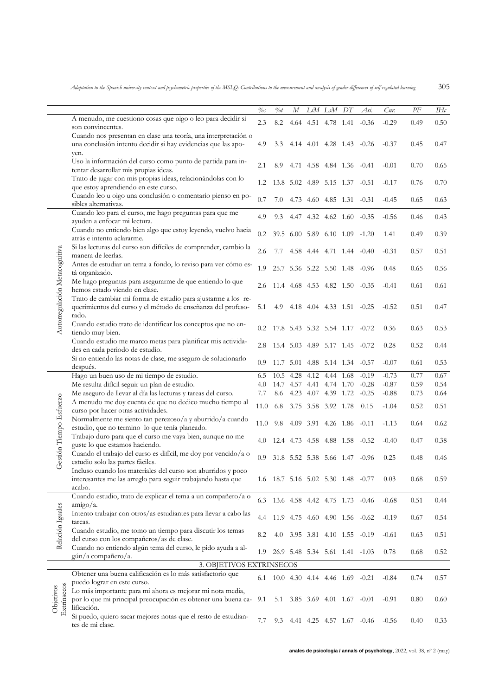|                               |                                                                                                                                                                          | $\%s$ | $\%$ t | М              |      | LiM LsM                        | DT    | Asi.                               | Cur.    | $\cal PF$ | IΗc  |
|-------------------------------|--------------------------------------------------------------------------------------------------------------------------------------------------------------------------|-------|--------|----------------|------|--------------------------------|-------|------------------------------------|---------|-----------|------|
|                               | A menudo, me cuestiono cosas que oigo o leo para decidir si<br>son convincentes.                                                                                         | 2.3   | 8.2    |                |      | 4.64 4.51 4.78 1.41            |       | $-0.36$                            | $-0.29$ | 0.49      | 0.50 |
|                               | Cuando nos presentan en clase una teoría, una interpretación o<br>una conclusión intento decidir si hay evidencias que las apo-<br>yen.                                  | 4.9   | 3.3    |                |      |                                |       | 4.14 4.01 4.28 1.43 -0.26          | $-0.37$ | 0.45      | 0.47 |
|                               | Uso la información del curso como punto de partida para in-<br>tentar desarrollar mis propias ideas.                                                                     | 2.1   | 8.9    |                |      | 4.71 4.58 4.84 1.36 -0.41      |       |                                    | $-0.01$ | 0.70      | 0.65 |
|                               | Trato de jugar con mis propias ideas, relacionándolas con lo<br>que estoy aprendiendo en este curso.                                                                     | 1.2   |        |                |      | 13.8 5.02 4.89 5.15 1.37 -0.51 |       |                                    | $-0.17$ | 0.76      | 0.70 |
|                               | Cuando leo u oigo una conclusión o comentario pienso en po-<br>sibles alternativas.                                                                                      | 0.7   | 7.0    |                |      | 4.73 4.60 4.85 1.31 -0.31      |       |                                    | $-0.45$ | 0.65      | 0.63 |
|                               | Cuando leo para el curso, me hago preguntas para que me<br>ayuden a enfocar mi lectura.                                                                                  | 4.9   | 9.3    |                |      | 4.47 4.32 4.62 1.60 -0.35      |       |                                    | $-0.56$ | 0.46      | 0.43 |
|                               | Cuando no entiendo bien algo que estoy leyendo, vuelvo hacia<br>atrás e intento aclararme.                                                                               | 0.2   | 39.5   |                |      | 6.00 5.89 6.10 1.09            |       | $-1.20$                            | 1.41    | 0.49      | 0.39 |
|                               | Si las lecturas del curso son difíciles de comprender, cambio la<br>manera de leerlas.                                                                                   | 2.6   | 7.7    |                |      |                                |       | 4.58 4.44 4.71 1.44 -0.40          | $-0.31$ | 0.57      | 0.51 |
|                               | Antes de estudiar un tema a fondo, lo reviso para ver cómo es-<br>tá organizado.                                                                                         | 1.9   |        |                |      | 25.7 5.36 5.22 5.50 1.48       |       | $-0.96$                            | 0.48    | 0.65      | 0.56 |
|                               | Me hago preguntas para asegurarme de que entiendo lo que<br>hemos estado viendo en clase.                                                                                | 2.6   |        |                |      | 11.4 4.68 4.53 4.82 1.50 -0.35 |       |                                    | $-0.41$ | 0.61      | 0.61 |
| Autorregulación Metacognitiva | Trato de cambiar mi forma de estudio para ajustarme a los re-<br>querimientos del curso y el método de enseñanza del profeso-<br>rado.                                   | 5.1   | 4.9    |                |      | 4.18 4.04 4.33 1.51 -0.25      |       |                                    | $-0.52$ | 0.51      | 0.47 |
|                               | Cuando estudio trato de identificar los conceptos que no en-<br>tiendo muy bien.                                                                                         | 0.2   |        |                |      | 17.8 5.43 5.32 5.54 1.17       |       | $-0.72$                            | 0.36    | 0.63      | 0.53 |
|                               | Cuando estudio me marco metas para planificar mis activida-<br>des en cada periodo de estudio.                                                                           | 2.8   |        |                |      | 15.4 5.03 4.89 5.17 1.45       |       | $-0.72$                            | 0.28    | 0.52      | 0.44 |
|                               | Si no entiendo las notas de clase, me aseguro de solucionarlo<br>después.                                                                                                | 0.9   |        |                |      |                                |       | 11.7 5.01 4.88 5.14 1.34 -0.57     | $-0.07$ | 0.61      | 0.53 |
|                               | Hago un buen uso de mi tiempo de estudio.                                                                                                                                | 6.5   | 10.5   | 4.28           | 4.12 | 4.44                           | -1.68 | $-0.19$                            | $-0.73$ | 0.77      | 0.67 |
|                               | Me resulta difícil seguir un plan de estudio.                                                                                                                            | 4.0   |        |                |      | 14.7 4.57 4.41 4.74 1.70       |       | $-0.28$                            | $-0.87$ | 0.59      | 0.54 |
|                               | Me aseguro de llevar al día las lecturas y tareas del curso.                                                                                                             | 7.7   | 8.6    |                |      | 4.23 4.07 4.39 1.72            |       | $-0.25$                            | $-0.88$ | 0.73      | 0.64 |
|                               | A menudo me doy cuenta de que no dedico mucho tiempo al                                                                                                                  |       |        |                |      |                                |       |                                    |         |           |      |
|                               | curso por hacer otras actividades.                                                                                                                                       | 11.0  | 6.8    |                |      | 3.75 3.58 3.92 1.78            |       | 0.15                               | $-1.04$ | 0.52      | 0.51 |
|                               | Normalmente me siento tan perezoso/a y aburrido/a cuando<br>estudio, que no termino lo que tenía planeado.                                                               | 11.0  | 9.8    |                |      | 4.09 3.91 4.26 1.86            |       | $-0.11$                            | $-1.13$ | 0.64      | 0.62 |
| Gestión Tiempo-Esfuerzo       | Trabajo duro para que el curso me vaya bien, aunque no me<br>guste lo que estamos haciendo.                                                                              | 4.0   |        |                |      |                                |       | 12.4 4.73 4.58 4.88 1.58 -0.52     | $-0.40$ | 0.47      | 0.38 |
|                               | Cuando el trabajo del curso es difícil, me doy por vencido/a o<br>estudio solo las partes fáciles.                                                                       | 0.9   |        | 31.8 5.52 5.38 |      | 5.66 1.47                      |       | $-0.96$                            | 0.25    | 0.48      | 0.46 |
|                               | Incluso cuando los materiales del curso son aburridos y poco<br>interesantes me las arreglo para seguir trabajando hasta que<br>acabo.                                   |       |        |                |      |                                |       | 1.6 18.7 5.16 5.02 5.30 1.48 -0.77 | 0.03    | 0.68      | 0.59 |
|                               | Cuando estudio, trato de explicar el tema a un compañero/a o<br>$amigo/a$ .                                                                                              |       |        |                |      |                                |       | 6.3 13.6 4.58 4.42 4.75 1.73 -0.46 | $-0.68$ | 0.51      | 0.44 |
| Relación Iguales              | Intento trabajar con otros/as estudiantes para llevar a cabo las<br>tareas.                                                                                              | 4.4   |        |                |      |                                |       | 11.9 4.75 4.60 4.90 1.56 -0.62     | $-0.19$ | 0.67      | 0.54 |
|                               | Cuando estudio, me tomo un tiempo para discutir los temas<br>del curso con los compañeros/as de clase.                                                                   | 8.2   | 4.0    |                |      |                                |       | 3.95 3.81 4.10 1.55 -0.19          | $-0.61$ | 0.63      | 0.51 |
|                               | Cuando no entiendo algún tema del curso, le pido ayuda a al-<br>gún/a compañero/a.                                                                                       | 1.9   |        |                |      |                                |       | 26.9 5.48 5.34 5.61 1.41 -1.03     | 0.78    | 0.68      | 0.52 |
|                               | 3. OBJETIVOS EXTRINSECOS                                                                                                                                                 |       |        |                |      |                                |       |                                    |         |           |      |
|                               | Obtener una buena calificación es lo más satisfactorio que                                                                                                               | 6.1   |        |                |      | 10.0 4.30 4.14 4.46 1.69 -0.21 |       |                                    | $-0.84$ | 0.74      | 0.57 |
| Extrínsecos<br>Objetivos      | puedo lograr en este curso.<br>Lo más importante para mí ahora es mejorar mi nota media,<br>por lo que mi principal preocupación es obtener una buena ca-<br>lificación. | 9.1   | 5.1    |                |      | 3.85 3.69 4.01 1.67 -0.01      |       |                                    | $-0.91$ | 0.80      | 0.60 |
|                               | Si puedo, quiero sacar mejores notas que el resto de estudian-<br>tes de mi clase.                                                                                       | 7.7   |        |                |      |                                |       | 9.3 4.41 4.25 4.57 1.67 -0.46      | $-0.56$ | 0.40      | 0.33 |